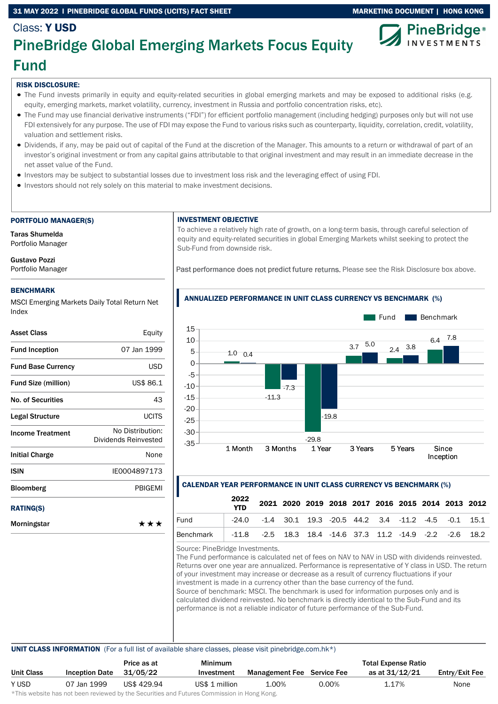### 31 MAY 2022 I PINEBRIDGE GLOBAL FUNDS (UCITS) FACT SHEET MARKETING DOCUMENT | HONG KONG



### Class: Y USD PineBridge Global Emerging Markets Focus Equity Fund

### RISK DISCLOSURE:

- The Fund invests primarily in equity and equity-related securities in global emerging markets and may be exposed to additional risks (e.g. equity, emerging markets, market volatility, currency, investment in Russia and portfolio concentration risks, etc).
- The Fund may use financial derivative instruments ("FDI") for efficient portfolio management (including hedging) purposes only but will not use FDI extensively for any purpose. The use of FDI may expose the Fund to various risks such as counterparty, liquidity, correlation, credit, volatility, valuation and settlement risks.
- Dividends, if any, may be paid out of capital of the Fund at the discretion of the Manager. This amounts to a return or withdrawal of part of an investor's original investment or from any capital gains attributable to that original investment and may result in an immediate decrease in the net asset value of the Fund.
- Investors may be subject to substantial losses due to investment loss risk and the leveraging effect of using FDI.
- Investors should not rely solely on this material to make investment decisions.

#### PORTFOLIO MANAGER(S)

Taras Shumelda Portfolio Manager

Gustavo Pozzi Portfolio Manager

### BENCHMARK

MSCI Emerging Markets Daily Total Return Net Index

| <b>Asset Class</b>         | Equity                                   |
|----------------------------|------------------------------------------|
| <b>Fund Inception</b>      | 07 Jan 1999                              |
| <b>Fund Base Currency</b>  | <b>USD</b>                               |
| <b>Fund Size (million)</b> | US\$ 86.1                                |
| No. of Securities          | 43                                       |
| Legal Structure            | <b>UCITS</b>                             |
| <b>Income Treatment</b>    | No Distribution:<br>Dividends Reinvested |
| <b>Initial Charge</b>      | None                                     |
| ISIN                       | IE0004897173                             |
| <b>Bloomberg</b>           | PBIGEMI                                  |
| <b>RATING(S)</b>           |                                          |
| Morningstar                | ***                                      |

### INVESTMENT OBJECTIVE

To achieve a relatively high rate of growth, on a long-term basis, through careful selection of equity and equity-related securities in global Emerging Markets whilst seeking to protect the Sub-Fund from downside risk.

Past performance does not predict future returns. Please see the Risk Disclosure box above.



### CALENDAR YEAR PERFORMANCE IN UNIT CLASS CURRENCY VS BENCHMARK (%)

|                                                                       | 2022<br><b>YTD</b> |                                                                      |  |  |  |  | 2021 2020 2019 2018 2017 2016 2015 2014 2013 2012 |
|-----------------------------------------------------------------------|--------------------|----------------------------------------------------------------------|--|--|--|--|---------------------------------------------------|
| Fund                                                                  |                    | $-24.0$ $-1.4$ 30.1 19.3 $-20.5$ 44.2 3.4 $-11.2$ $-4.5$ $-0.1$ 15.1 |  |  |  |  |                                                   |
| Benchmark   -11.8 -2.5 18.3 18.4 -14.6 37.3 11.2 -14.9 -2.2 -2.6 18.2 |                    |                                                                      |  |  |  |  |                                                   |

Source: PineBridge Investments.

The Fund performance is calculated net of fees on NAV to NAV in USD with dividends reinvested. Returns over one year are annualized. Performance is representative of Y class in USD. The return of your investment may increase or decrease as a result of currency fluctuations if your investment is made in a currency other than the base currency of the fund. Source of benchmark: MSCI. The benchmark is used for information purposes only and is calculated dividend reinvested. No benchmark is directly identical to the Sub-Fund and its performance is not a reliable indicator of future performance of the Sub-Fund.

UNIT CLASS INFORMATION (For a full list of available share classes, please visit pinebridge.com.hk\*)

|                   |                       | Price as at | Minimum        |                                   |          | <b>Total Expense Ratio</b> |                |
|-------------------|-----------------------|-------------|----------------|-----------------------------------|----------|----------------------------|----------------|
| <b>Unit Class</b> | <b>Inception Date</b> | 31/05/22    | Investment     | <b>Management Fee</b> Service Fee |          | as at 31/12/21             | Entry/Exit Fee |
| Y USD             | 07 Jan 1999           | US\$ 429.94 | US\$ 1 million | 1.00%                             | $0.00\%$ | 1.17%                      | None           |

\*This website has not been reviewed by the Securities and Futures Commission in Hong Kong.

### ANNUALIZED PERFORMANCE IN UNIT CLASS CURRENCY VS BENCHMARK (%)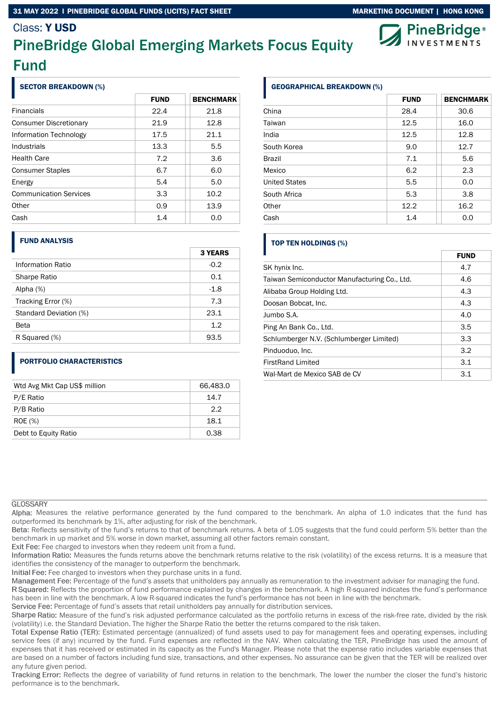### 31 MAY 2022 I PINEBRIDGE GLOBAL FUNDS (UCITS) FACT SHEET MARKETING MARKETING DOCUMENT | HONG KONG

### Class: Y USD

# PineBridge Global Emerging Markets Focus Equity Fund

### SECTOR BREAKDOWN (%)

|                               | <b>FUND</b> | <b>BENCHMARK</b> |
|-------------------------------|-------------|------------------|
| <b>Financials</b>             | 22.4        | 21.8             |
| <b>Consumer Discretionary</b> | 21.9        | 12.8             |
| Information Technology        | 17.5        | 21.1             |
| Industrials                   | 13.3        | 5.5              |
| <b>Health Care</b>            | 7.2         | 3.6              |
| <b>Consumer Staples</b>       | 6.7         | 6.0              |
| Energy                        | 5.4         | 5.0              |
| <b>Communication Services</b> | 3.3         | 10.2             |
| Other                         | 0.9         | 13.9             |
| Cash                          | 1.4         | 0.0              |

### FUND ANALYSIS

|                        | <b>3 YEARS</b> |
|------------------------|----------------|
| Information Ratio      | $-0.2$         |
| <b>Sharpe Ratio</b>    | 0.1            |
| Alpha $(%)$            | $-1.8$         |
| Tracking Error (%)     | 7.3            |
| Standard Deviation (%) | 23.1           |
| Beta                   | 1.2            |
| R Squared (%)          | 93.5           |

### PORTFOLIO CHARACTERISTICS

| Wtd Avg Mkt Cap US\$ million | 66,483.0 |
|------------------------------|----------|
| P/E Ratio                    | 14.7     |
| P/B Ratio                    | 2.2      |
| <b>ROE</b> (%)               | 18.1     |
| Debt to Equity Ratio         | 0.38     |

### GEOGRAPHICAL BREAKDOWN (%)

|                      | <b>FUND</b> | <b>BENCHMARK</b> |
|----------------------|-------------|------------------|
| China                | 28.4        | 30.6             |
| Taiwan               | 12.5        | 16.0             |
| India                | 12.5        | 12.8             |
| South Korea          | 9.0         | 12.7             |
| <b>Brazil</b>        | 7.1         | 5.6              |
| Mexico               | 6.2         | 2.3              |
| <b>United States</b> | 5.5         | 0.0              |
| South Africa         | 5.3         | 3.8              |
| Other                | 12.2        | 16.2             |
| Cash                 | 1.4         | 0.0              |

### TOP TEN HOLDINGS (%)

|                                              | <b>FUND</b> |
|----------------------------------------------|-------------|
| SK hynix Inc.                                | 4.7         |
| Taiwan Semiconductor Manufacturing Co., Ltd. | 4.6         |
| Alibaba Group Holding Ltd.                   | 4.3         |
| Doosan Bobcat, Inc.                          | 4.3         |
| Jumbo S.A.                                   | 4.0         |
| Ping An Bank Co., Ltd.                       | 3.5         |
| Schlumberger N.V. (Schlumberger Limited)     | 3.3         |
| Pinduoduo, Inc.                              | 3.2         |
| <b>FirstRand Limited</b>                     | 3.1         |
| Wal-Mart de Mexico SAB de CV                 | 3.1         |

### **GLOSSARY**

Alpha: Measures the relative performance generated by the fund compared to the benchmark. An alpha of 1.0 indicates that the fund has outperformed its benchmark by 1%, after adjusting for risk of the benchmark.

Beta: Reflects sensitivity of the fund's returns to that of benchmark returns. A beta of 1.05 suggests that the fund could perform 5% better than the benchmark in up market and 5% worse in down market, assuming all other factors remain constant.

Exit Fee: Fee charged to investors when they redeem unit from a fund.

Information Ratio: Measures the funds returns above the benchmark returns relative to the risk (volatility) of the excess returns. It is a measure that identifies the consistency of the manager to outperform the benchmark.

Initial Fee: Fee charged to investors when they purchase units in a fund.

Management Fee: Percentage of the fund's assets that unitholders pay annually as remuneration to the investment adviser for managing the fund.

R Squared: Reflects the proportion of fund performance explained by changes in the benchmark. A high R-squared indicates the fund's performance has been in line with the benchmark. A low R-squared indicates the fund's performance has not been in line with the benchmark.

Service Fee: Percentage of fund's assets that retail unitholders pay annually for distribution services.

Sharpe Ratio: Measure of the fund's risk adjusted performance calculated as the portfolio returns in excess of the risk-free rate, divided by the risk (volatility) i.e. the Standard Deviation. The higher the Sharpe Ratio the better the returns compared to the risk taken.

Total Expense Ratio (TER): Estimated percentage (annualized) of fund assets used to pay for management fees and operating expenses, including service fees (if any) incurred by the fund. Fund expenses are reflected in the NAV. When calculating the TER, PineBridge has used the amount of expenses that it has received or estimated in its capacity as the Fund's Manager. Please note that the expense ratio includes variable expenses that are based on a number of factors including fund size, transactions, and other expenses. No assurance can be given that the TER will be realized over any future given period.

Tracking Error: Reflects the degree of variability of fund returns in relation to the benchmark. The lower the number the closer the fund's historic performance is to the benchmark.